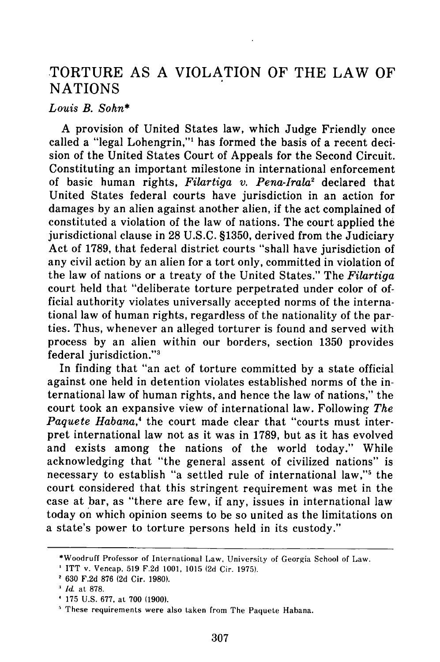## TORTURE AS A VIOLATION OF THE LAW OF **NATIONS**

## *Louis B. Sohn\**

A provision of United States law, which Judge Friendly once called a "legal Lohengrin,"' has formed the basis of a recent decision of the United States Court of Appeals for the Second Circuit. Constituting an important milestone in international enforcement of basic human rights, *Filartiga v. Pena-Irala2* declared that United States federal courts have jurisdiction in an action for damages by an alien against another alien, if the act complained of constituted a violation of the law of nations. The court applied the jurisdictional clause in 28 U.S.C. §1350, derived from the Judiciary Act of 1789, that federal district courts "shall have jurisdiction of any civil action by an alien for a tort only, committed in violation of the law of nations or a treaty of the United States." The *Filartiga* court held that "deliberate torture perpetrated under color of official authority violates universally accepted norms of the international law of human rights, regardless of the nationality of the parties. Thus, whenever an alleged torturer is found and served with process by an alien within our borders, section 1350 provides federal jurisdiction."3

In finding that "an act of torture committed by a state official against one held in detention violates established norms of the international law of human rights, and hence the law of nations," the court took an expansive view of international law. Following *The Paquete Habana*,<sup>4</sup> the court made clear that "courts must interpret international law not as it was in 1789, but as it has evolved and exists among the nations of the world today." While acknowledging that "the general assent of civilized nations" is necessary to establish "a settled rule of international law,"<sup>5</sup> the court considered that this stringent requirement was met in the case at bar, as "there are few, if any, issues in international law today on which opinion seems to be so united as the limitations on a state's power to torture persons held in its custody."

<sup>\*</sup>Woodruff Professor of International Law, University of Georgia School of Law.

ITT v. Vencap, 519 F.2d 1001, 1015 (2d Cir. 1975). 630 F.2d 876 (2d Cir. 1980).

*Id* at 878.

<sup>175</sup> U.S. 677, at 700 (1900).

These requirements were also taken from The Paquete Habana.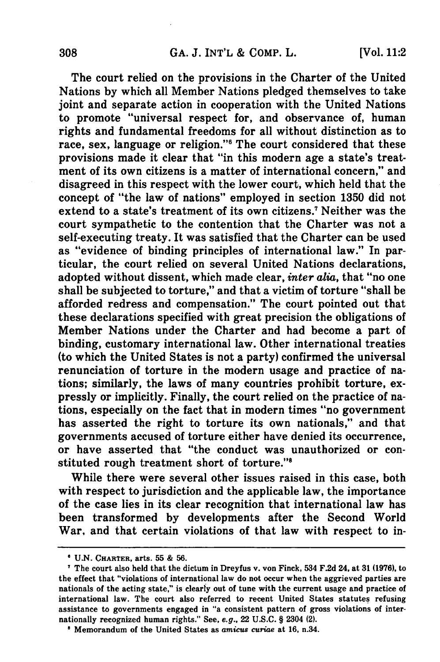The court relied on the provisions in the Charter of the United Nations **by** which all Member Nations pledged themselves to take joint and separate action in cooperation with the United Nations to promote "universal respect for, and observance of, human rights and fundamental freedoms for all without distinction as to race, sex, language or religion."<sup>6</sup> The court considered that these provisions made it clear that "in this modern age a state's treatment of its own citizens is a matter of international concern," and disagreed in this respect with the lower court, which held that the concept of "the law of nations" employed in section **1350** did not extend to a state's treatment of its own citizens.7 Neither was the court sympathetic to the contention that the Charter was not a self-executing treaty. It was satisfied that the Charter can be used as "evidence of binding principles of international law." In particular, the court relied on several United Nations declarations, adopted without dissent, which made clear, *inter alia,* that "no one shall be subjected to torture," and that a victim of torture "shall be afforded redress and compensation." The court pointed out that these declarations specified with great precision the obligations of Member Nations under the Charter and had become a part of binding, customary international law. Other international treaties (to which the United States is not a party) confirmed the universal renunciation of torture in the modern usage and practice of nations; similarly, the laws of many countries prohibit torture, expressly or implicitly. Finally, the court relied on the practice of nations, especially on the fact that in modern times "no government has asserted the right to torture its own nationals," and that governments accused of torture either have denied its occurrence, or have asserted that "the conduct was unauthorized or constituted rough treatment short of torture."8

While there were several other issues raised in this case, both with respect to jurisdiction and the applicable law, the importance of the case lies in its clear recognition that international law has been transformed **by** developments after the Second World War, and that certain violations of that law with respect to in-

**U.N. CHARTER,** arts. **55 & 56.**

The court also held that the dictum in Dreyfus v. von Finck, 534 **F.2d** 24, at **31 (1976),** to the effect that "violations of international law do not occur when the aggrieved parties are nationals of the acting state," is clearly out of tune with the current usage and practice of international law. The court also referred to recent United States statutes refusing assistance to governments engaged in "a consistent pattern of gross violations of internationally recognized human rights." See, e.g., 22 **U.S.C.** § 2304 (2).

**<sup>&#</sup>x27;** Memorandum of the United States as *amicus curiae* at **16.** n.34.